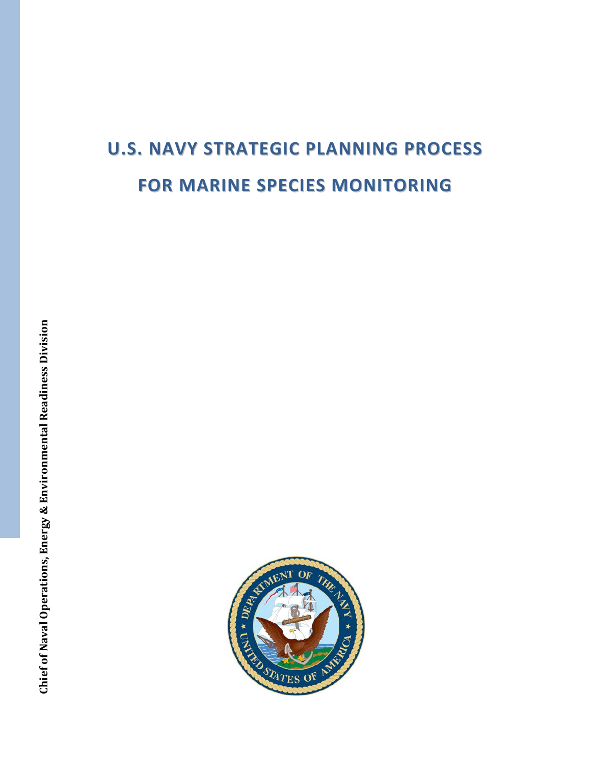# **U.S. NAVY STRATEGIC PLANNING PROCESS FOR MARINE SPECIES MONITORING**

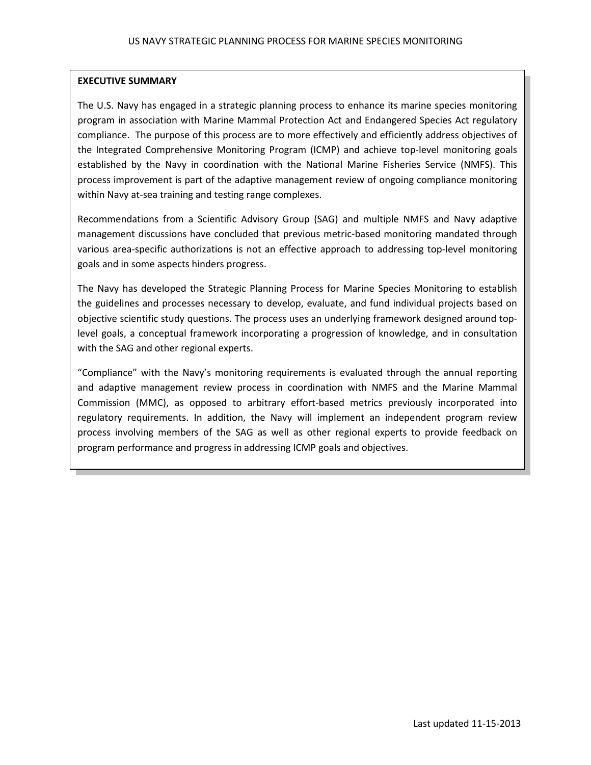# **EXECUTIVE SUMMARY**

The U.S. Navy has engaged in a strategic planning process to enhance its marine species monitoring program in association with Marine Mammal Protection Act and Endangered Species Act regulatory compliance. The purpose of this process are to more effectively and efficiently address objectives of the Integrated Comprehensive Monitoring Program (ICMP) and achieve top-level monitoring goals established by the Navy in coordination with the National Marine Fisheries Service (NMFS). This process improvement is part of the adaptive management review of ongoing compliance monitoring within Navy at-sea training and testing range complexes.

Recommendations from a Scientific Advisory Group (SAG) and multiple NMFS and Navy adaptive management discussions have concluded that previous metric-based monitoring mandated through various area-specific authorizations is not an effective approach to addressing top-level monitoring goals and in some aspects hinders progress.

The Navy has developed the Strategic Planning Process for Marine Species Monitoring to establish the guidelines and processes necessary to develop, evaluate, and fund individual projects based on objective scientific study questions. The process uses an underlying framework designed around toplevel goals, a conceptual framework incorporating a progression of knowledge, and in consultation with the SAG and other regional experts.

"Compliance" with the Navy's monitoring requirements is evaluated through the annual reporting and adaptive management review process in coordination with NMFS and the Marine Mammal Commission (MMC), as opposed to arbitrary effort-based metrics previously incorporated into regulatory requirements. In addition, the Navy will implement an independent program review process involving members of the SAG as well as other regional experts to provide feedback on program performance and progress in addressing ICMP goals and objectives.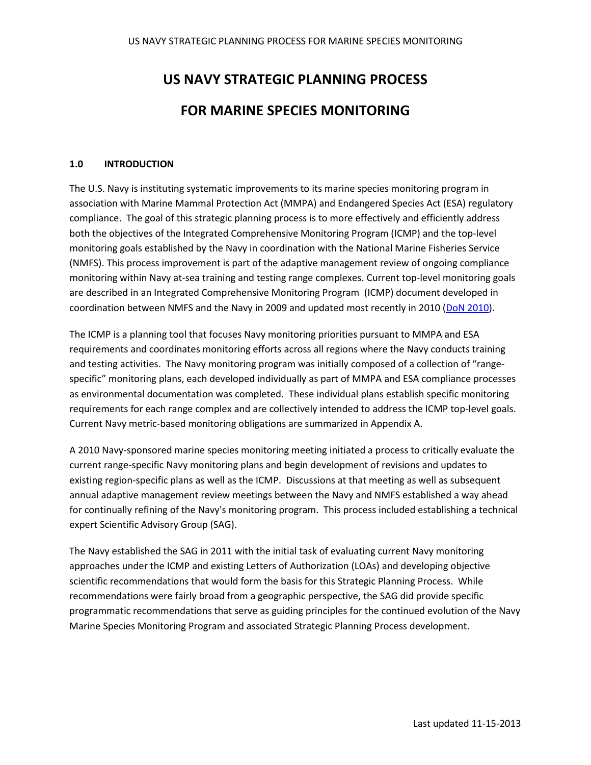# **US NAVY STRATEGIC PLANNING PROCESS FOR MARINE SPECIES MONITORING**

#### **1.0 INTRODUCTION**

The U.S. Navy is instituting systematic improvements to its marine species monitoring program in association with Marine Mammal Protection Act (MMPA) and Endangered Species Act (ESA) regulatory compliance. The goal of this strategic planning process is to more effectively and efficiently address both the objectives of the Integrated Comprehensive Monitoring Program (ICMP) and the top-level monitoring goals established by the Navy in coordination with the National Marine Fisheries Service (NMFS). This process improvement is part of the adaptive management review of ongoing compliance monitoring within Navy at-sea training and testing range complexes. Current top-level monitoring goals are described in an Integrated Comprehensive Monitoring Program (ICMP) document developed in coordination between NMFS and the Navy in 2009 and updated most recently in 2010 (DoN [2010\)](http://www.navymarinespeciesmonitoring.us/index.php/download_file/view/83/).

The ICMP is a planning tool that focuses Navy monitoring priorities pursuant to MMPA and ESA requirements and coordinates monitoring efforts across all regions where the Navy conducts training and testing activities. The Navy monitoring program was initially composed of a collection of "rangespecific" monitoring plans, each developed individually as part of MMPA and ESA compliance processes as environmental documentation was completed. These individual plans establish specific monitoring requirements for each range complex and are collectively intended to address the ICMP top-level goals. Current Navy metric-based monitoring obligations are summarized in Appendix A.

A 2010 Navy-sponsored marine species monitoring meeting initiated a process to critically evaluate the current range-specific Navy monitoring plans and begin development of revisions and updates to existing region-specific plans as well as the ICMP. Discussions at that meeting as well as subsequent annual adaptive management review meetings between the Navy and NMFS established a way ahead for continually refining of the Navy's monitoring program. This process included establishing a technical expert Scientific Advisory Group (SAG).

The Navy established the SAG in 2011 with the initial task of evaluating current Navy monitoring approaches under the ICMP and existing Letters of Authorization (LOAs) and developing objective scientific recommendations that would form the basis for this Strategic Planning Process. While recommendations were fairly broad from a geographic perspective, the SAG did provide specific programmatic recommendations that serve as guiding principles for the continued evolution of the Navy Marine Species Monitoring Program and associated Strategic Planning Process development.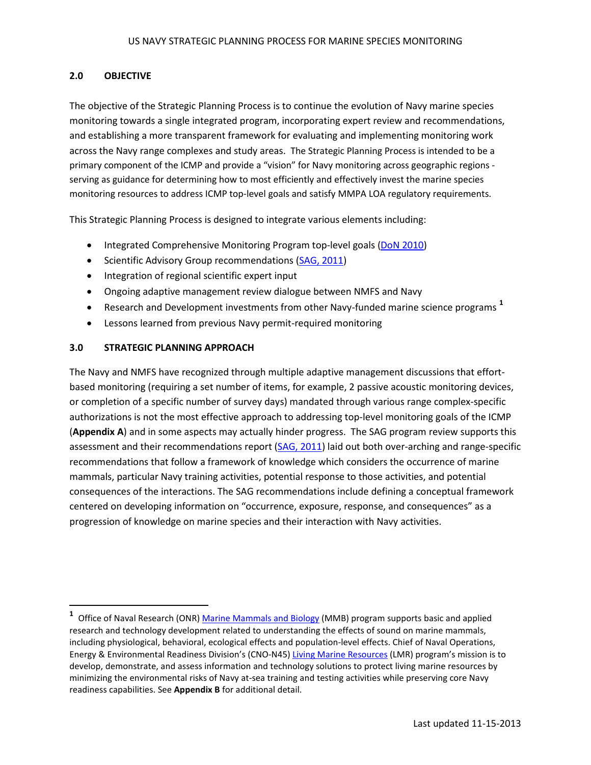# **2.0 OBJECTIVE**

The objective of the Strategic Planning Process is to continue the evolution of Navy marine species monitoring towards a single integrated program, incorporating expert review and recommendations, and establishing a more transparent framework for evaluating and implementing monitoring work across the Navy range complexes and study areas. The Strategic Planning Process is intended to be a primary component of the ICMP and provide a "vision" for Navy monitoring across geographic regions serving as guidance for determining how to most efficiently and effectively invest the marine species monitoring resources to address ICMP top-level goals and satisfy MMPA LOA regulatory requirements.

This Strategic Planning Process is designed to integrate various elements including:

- Integrated Comprehensive Monitoring Program top-level goals [\(DoN 2010\)](http://www.navymarinespeciesmonitoring.us/index.php/download_file/view/83/)
- Scientific Advisory Group recommendations [\(SAG, 2011\)](http://www.navymarinespeciesmonitoring.us/index.php/download_file/view/86/)
- Integration of regional scientific expert input
- Ongoing adaptive management review dialogue between NMFS and Navy
- Research and Development investments from other Navy-funded marine science programs **[1](#page-3-0)**
- Lessons learned from previous Navy permit-required monitoring

# **3.0 STRATEGIC PLANNING APPROACH**

 $\overline{\phantom{a}}$ 

The Navy and NMFS have recognized through multiple adaptive management discussions that effortbased monitoring (requiring a set number of items, for example, 2 passive acoustic monitoring devices, or completion of a specific number of survey days) mandated through various range complex-specific authorizations is not the most effective approach to addressing top-level monitoring goals of the ICMP (**Appendix A**) and in some aspects may actually hinder progress. The SAG program review supports this assessment and their recommendations report [\(SAG, 2011\)](http://www.navymarinespeciesmonitoring.us/index.php/download_file/view/86/) laid out both over-arching and range-specific recommendations that follow a framework of knowledge which considers the occurrence of marine mammals, particular Navy training activities, potential response to those activities, and potential consequences of the interactions. The SAG recommendations include defining a conceptual framework centered on developing information on "occurrence, exposure, response, and consequences" as a progression of knowledge on marine species and their interaction with Navy activities.

<span id="page-3-0"></span><sup>&</sup>lt;sup>1</sup> Office of Naval Research (ONR[\) Marine Mammals and Biology](http://www.onr.navy.mil/en/Science-Technology/Departments/Code-32/All-Programs/Atmosphere-Research-322/Marine-Mammals-Biology.aspx) (MMB) program supports basic and applied research and technology development related to understanding the effects of sound on marine mammals, including physiological, behavioral, ecological effects and population-level effects. Chief of Naval Operations, Energy & Environmental Readiness Division's (CNO-N45) [Living Marine Resources](https://www.lmr.navy.mil/Home.aspx) (LMR) program's mission is to develop, demonstrate, and assess information and technology solutions to protect living marine resources by minimizing the environmental risks of Navy at-sea training and testing activities while preserving core Navy readiness capabilities. See **Appendix B** for additional detail.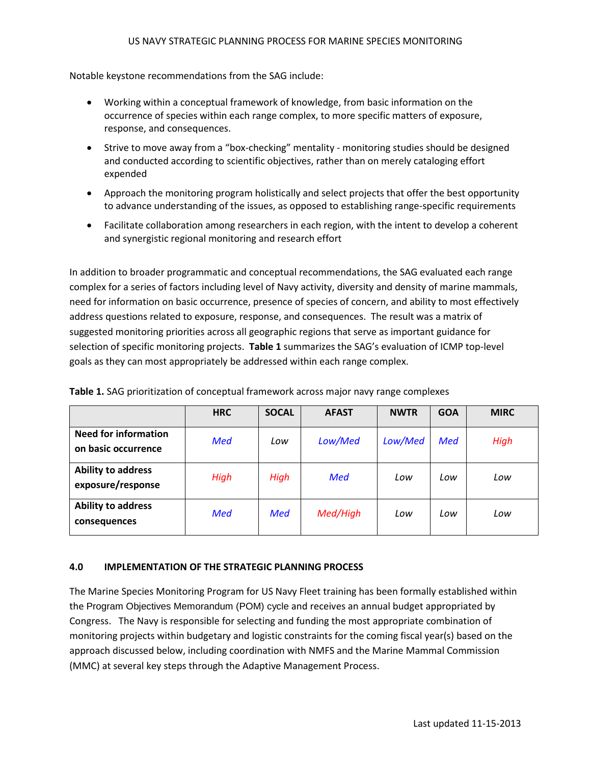Notable keystone recommendations from the SAG include:

- Working within a conceptual framework of knowledge, from basic information on the occurrence of species within each range complex, to more specific matters of exposure, response, and consequences.
- Strive to move away from a "box-checking" mentality monitoring studies should be designed and conducted according to scientific objectives, rather than on merely cataloging effort expended
- Approach the monitoring program holistically and select projects that offer the best opportunity to advance understanding of the issues, as opposed to establishing range-specific requirements
- Facilitate collaboration among researchers in each region, with the intent to develop a coherent and synergistic regional monitoring and research effort

In addition to broader programmatic and conceptual recommendations, the SAG evaluated each range complex for a series of factors including level of Navy activity, diversity and density of marine mammals, need for information on basic occurrence, presence of species of concern, and ability to most effectively address questions related to exposure, response, and consequences. The result was a matrix of suggested monitoring priorities across all geographic regions that serve as important guidance for selection of specific monitoring projects. **Table 1** summarizes the SAG's evaluation of ICMP top-level goals as they can most appropriately be addressed within each range complex.

|                                                    | <b>HRC</b> | <b>SOCAL</b> | <b>AFAST</b> | <b>NWTR</b> | <b>GOA</b> | <b>MIRC</b> |
|----------------------------------------------------|------------|--------------|--------------|-------------|------------|-------------|
| <b>Need for information</b><br>on basic occurrence | <b>Med</b> | Low          | Low/Med      | Low/Med     | <b>Med</b> | High        |
| Ability to address<br>exposure/response            | High       | High         | <b>Med</b>   | Low         | Low        | Low         |
| Ability to address<br>consequences                 | <b>Med</b> | <b>Med</b>   | Med/High     | Low         | Low        | Low         |

**Table 1.** SAG prioritization of conceptual framework across major navy range complexes

#### **4.0 IMPLEMENTATION OF THE STRATEGIC PLANNING PROCESS**

The Marine Species Monitoring Program for US Navy Fleet training has been formally established within the Program Objectives Memorandum (POM) cycle and receives an annual budget appropriated by Congress. The Navy is responsible for selecting and funding the most appropriate combination of monitoring projects within budgetary and logistic constraints for the coming fiscal year(s) based on the approach discussed below, including coordination with NMFS and the Marine Mammal Commission (MMC) at several key steps through the Adaptive Management Process.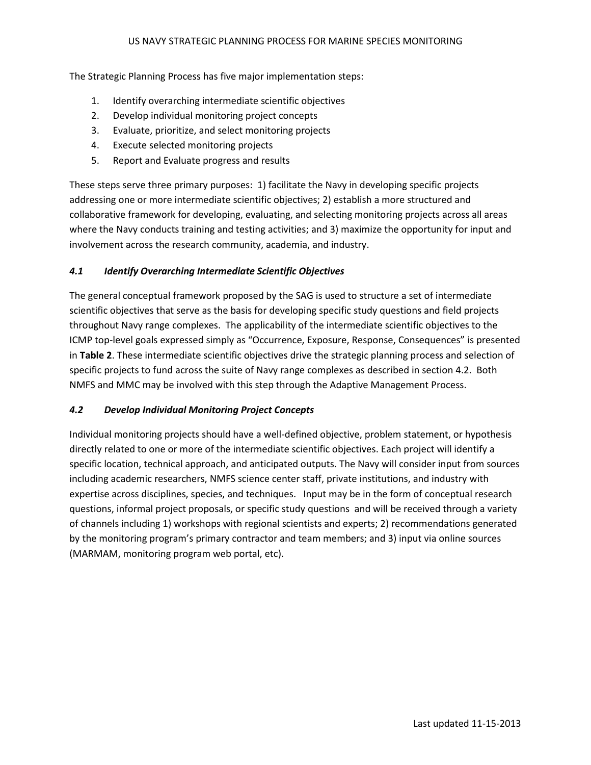The Strategic Planning Process has five major implementation steps:

- 1. Identify overarching intermediate scientific objectives
- 2. Develop individual monitoring project concepts
- 3. Evaluate, prioritize, and select monitoring projects
- 4. Execute selected monitoring projects
- 5. Report and Evaluate progress and results

These steps serve three primary purposes: 1) facilitate the Navy in developing specific projects addressing one or more intermediate scientific objectives; 2) establish a more structured and collaborative framework for developing, evaluating, and selecting monitoring projects across all areas where the Navy conducts training and testing activities; and 3) maximize the opportunity for input and involvement across the research community, academia, and industry.

# *4.1 Identify Overarching Intermediate Scientific Objectives*

The general conceptual framework proposed by the SAG is used to structure a set of intermediate scientific objectives that serve as the basis for developing specific study questions and field projects throughout Navy range complexes. The applicability of the intermediate scientific objectives to the ICMP top-level goals expressed simply as "Occurrence, Exposure, Response, Consequences" is presented in **Table 2**. These intermediate scientific objectives drive the strategic planning process and selection of specific projects to fund across the suite of Navy range complexes as described in section 4.2. Both NMFS and MMC may be involved with this step through the Adaptive Management Process.

# *4.2 Develop Individual Monitoring Project Concepts*

Individual monitoring projects should have a well-defined objective, problem statement, or hypothesis directly related to one or more of the intermediate scientific objectives. Each project will identify a specific location, technical approach, and anticipated outputs. The Navy will consider input from sources including academic researchers, NMFS science center staff, private institutions, and industry with expertise across disciplines, species, and techniques. Input may be in the form of conceptual research questions, informal project proposals, or specific study questions and will be received through a variety of channels including 1) workshops with regional scientists and experts; 2) recommendations generated by the monitoring program's primary contractor and team members; and 3) input via online sources (MARMAM, monitoring program web portal, etc).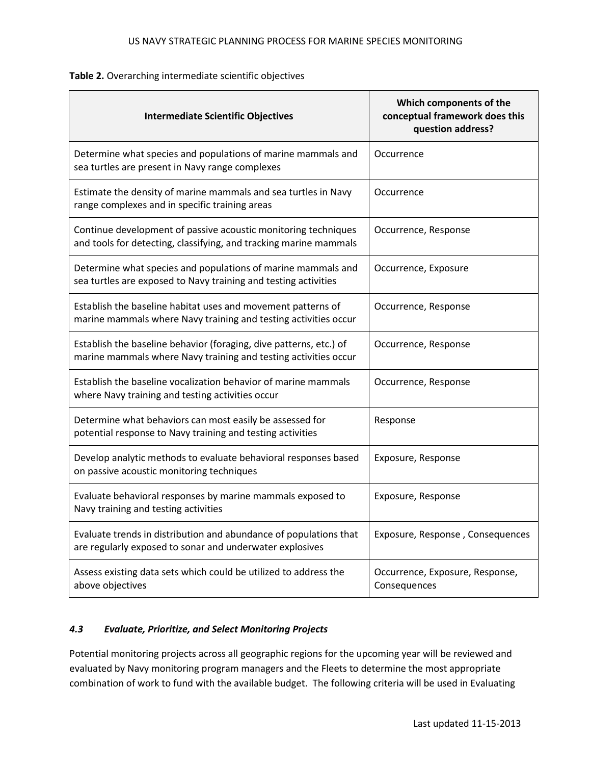| <b>Intermediate Scientific Objectives</b>                                                                                             | Which components of the<br>conceptual framework does this<br>question address? |  |  |
|---------------------------------------------------------------------------------------------------------------------------------------|--------------------------------------------------------------------------------|--|--|
| Determine what species and populations of marine mammals and<br>sea turtles are present in Navy range complexes                       | Occurrence                                                                     |  |  |
| Estimate the density of marine mammals and sea turtles in Navy<br>range complexes and in specific training areas                      | Occurrence                                                                     |  |  |
| Continue development of passive acoustic monitoring techniques<br>and tools for detecting, classifying, and tracking marine mammals   | Occurrence, Response                                                           |  |  |
| Determine what species and populations of marine mammals and<br>sea turtles are exposed to Navy training and testing activities       | Occurrence, Exposure                                                           |  |  |
| Establish the baseline habitat uses and movement patterns of<br>marine mammals where Navy training and testing activities occur       | Occurrence, Response                                                           |  |  |
| Establish the baseline behavior (foraging, dive patterns, etc.) of<br>marine mammals where Navy training and testing activities occur | Occurrence, Response                                                           |  |  |
| Establish the baseline vocalization behavior of marine mammals<br>where Navy training and testing activities occur                    | Occurrence, Response                                                           |  |  |
| Determine what behaviors can most easily be assessed for<br>potential response to Navy training and testing activities                | Response                                                                       |  |  |
| Develop analytic methods to evaluate behavioral responses based<br>on passive acoustic monitoring techniques                          | Exposure, Response                                                             |  |  |
| Evaluate behavioral responses by marine mammals exposed to<br>Navy training and testing activities                                    | Exposure, Response                                                             |  |  |
| Evaluate trends in distribution and abundance of populations that<br>are regularly exposed to sonar and underwater explosives         | Exposure, Response, Consequences                                               |  |  |
| Assess existing data sets which could be utilized to address the<br>above objectives                                                  | Occurrence, Exposure, Response,<br>Consequences                                |  |  |

#### **Table 2.** Overarching intermediate scientific objectives

#### *4.3 Evaluate, Prioritize, and Select Monitoring Projects*

Potential monitoring projects across all geographic regions for the upcoming year will be reviewed and evaluated by Navy monitoring program managers and the Fleets to determine the most appropriate combination of work to fund with the available budget. The following criteria will be used in Evaluating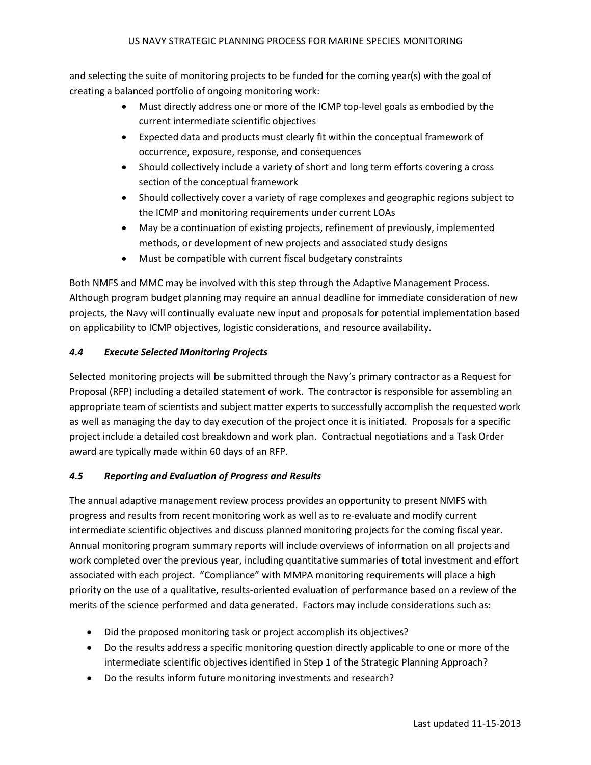and selecting the suite of monitoring projects to be funded for the coming year(s) with the goal of creating a balanced portfolio of ongoing monitoring work:

- Must directly address one or more of the ICMP top-level goals as embodied by the current intermediate scientific objectives
- Expected data and products must clearly fit within the conceptual framework of occurrence, exposure, response, and consequences
- Should collectively include a variety of short and long term efforts covering a cross section of the conceptual framework
- Should collectively cover a variety of rage complexes and geographic regions subject to the ICMP and monitoring requirements under current LOAs
- May be a continuation of existing projects, refinement of previously, implemented methods, or development of new projects and associated study designs
- Must be compatible with current fiscal budgetary constraints

Both NMFS and MMC may be involved with this step through the Adaptive Management Process. Although program budget planning may require an annual deadline for immediate consideration of new projects, the Navy will continually evaluate new input and proposals for potential implementation based on applicability to ICMP objectives, logistic considerations, and resource availability.

# *4.4 Execute Selected Monitoring Projects*

Selected monitoring projects will be submitted through the Navy's primary contractor as a Request for Proposal (RFP) including a detailed statement of work. The contractor is responsible for assembling an appropriate team of scientists and subject matter experts to successfully accomplish the requested work as well as managing the day to day execution of the project once it is initiated. Proposals for a specific project include a detailed cost breakdown and work plan. Contractual negotiations and a Task Order award are typically made within 60 days of an RFP.

# *4.5 Reporting and Evaluation of Progress and Results*

The annual adaptive management review process provides an opportunity to present NMFS with progress and results from recent monitoring work as well as to re-evaluate and modify current intermediate scientific objectives and discuss planned monitoring projects for the coming fiscal year. Annual monitoring program summary reports will include overviews of information on all projects and work completed over the previous year, including quantitative summaries of total investment and effort associated with each project. "Compliance" with MMPA monitoring requirements will place a high priority on the use of a qualitative, results-oriented evaluation of performance based on a review of the merits of the science performed and data generated. Factors may include considerations such as:

- Did the proposed monitoring task or project accomplish its objectives?
- Do the results address a specific monitoring question directly applicable to one or more of the intermediate scientific objectives identified in Step 1 of the Strategic Planning Approach?
- Do the results inform future monitoring investments and research?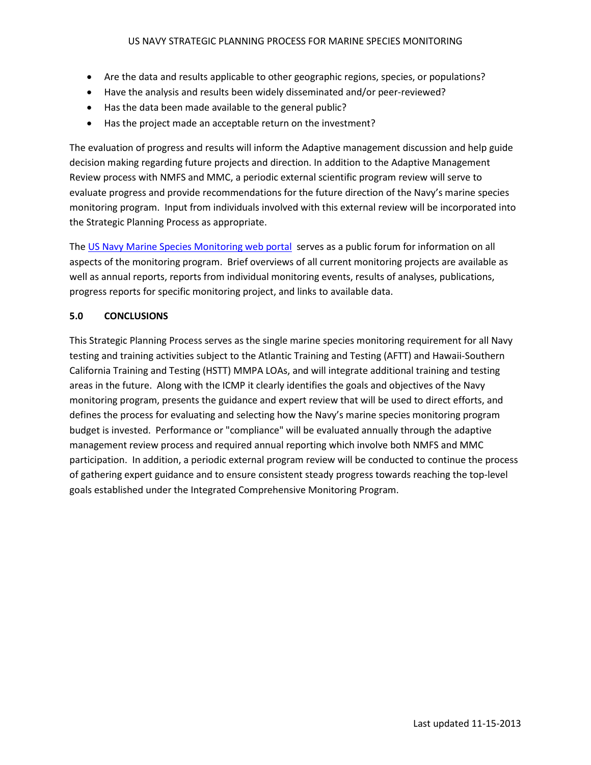- Are the data and results applicable to other geographic regions, species, or populations?
- Have the analysis and results been widely disseminated and/or peer-reviewed?
- Has the data been made available to the general public?
- Has the project made an acceptable return on the investment?

The evaluation of progress and results will inform the Adaptive management discussion and help guide decision making regarding future projects and direction. In addition to the Adaptive Management Review process with NMFS and MMC, a periodic external scientific program review will serve to evaluate progress and provide recommendations for the future direction of the Navy's marine species monitoring program. Input from individuals involved with this external review will be incorporated into the Strategic Planning Process as appropriate.

The [US Navy Marine Species Monitoring web portal](http://www.navymarinespeciesmonitoring.us/) serves as a public forum for information on all aspects of the monitoring program. Brief overviews of all current monitoring projects are available as well as annual reports, reports from individual monitoring events, results of analyses, publications, progress reports for specific monitoring project, and links to available data.

# **5.0 CONCLUSIONS**

This Strategic Planning Process serves as the single marine species monitoring requirement for all Navy testing and training activities subject to the Atlantic Training and Testing (AFTT) and Hawaii-Southern California Training and Testing (HSTT) MMPA LOAs, and will integrate additional training and testing areas in the future. Along with the ICMP it clearly identifies the goals and objectives of the Navy monitoring program, presents the guidance and expert review that will be used to direct efforts, and defines the process for evaluating and selecting how the Navy's marine species monitoring program budget is invested. Performance or "compliance" will be evaluated annually through the adaptive management review process and required annual reporting which involve both NMFS and MMC participation. In addition, a periodic external program review will be conducted to continue the process of gathering expert guidance and to ensure consistent steady progress towards reaching the top-level goals established under the Integrated Comprehensive Monitoring Program.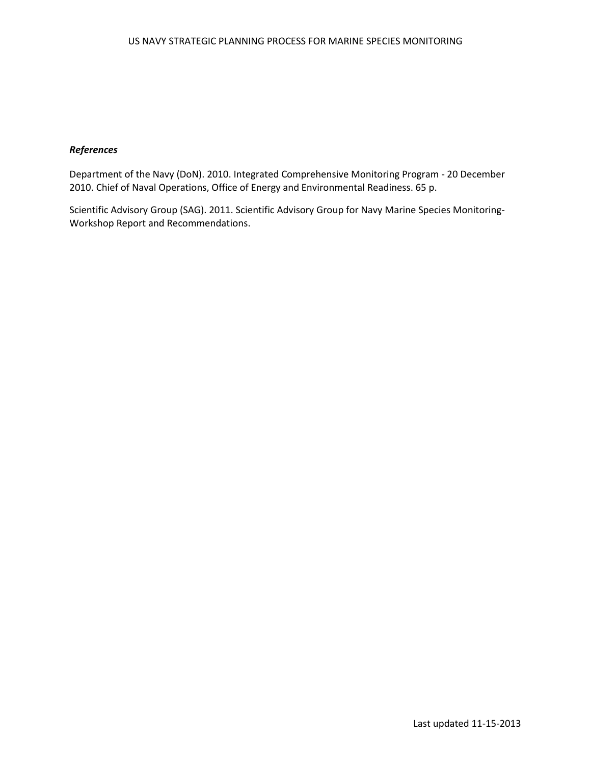# *References*

Department of the Navy (DoN). 2010. Integrated Comprehensive Monitoring Program - 20 December 2010. Chief of Naval Operations, Office of Energy and Environmental Readiness. 65 p.

Scientific Advisory Group (SAG). 2011. Scientific Advisory Group for Navy Marine Species Monitoring-Workshop Report and Recommendations.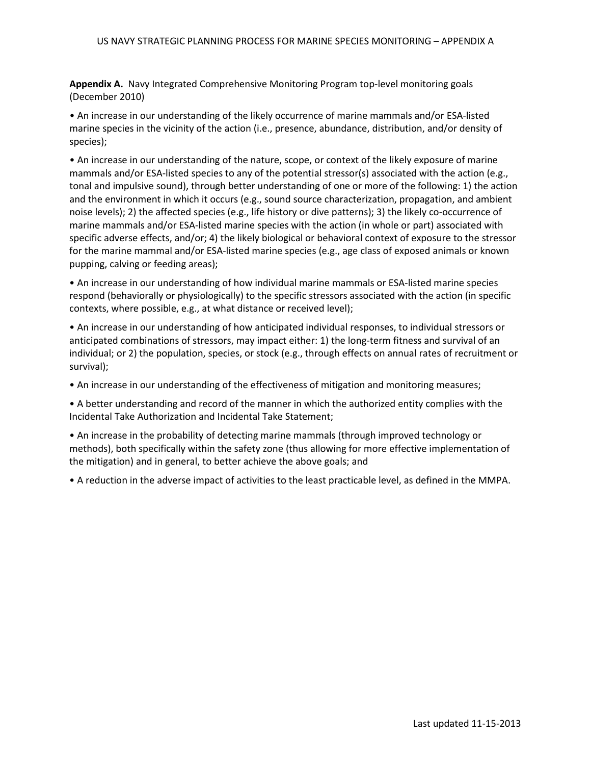**Appendix A.** Navy Integrated Comprehensive Monitoring Program top-level monitoring goals (December 2010)

• An increase in our understanding of the likely occurrence of marine mammals and/or ESA-listed marine species in the vicinity of the action (i.e., presence, abundance, distribution, and/or density of species);

• An increase in our understanding of the nature, scope, or context of the likely exposure of marine mammals and/or ESA-listed species to any of the potential stressor(s) associated with the action (e.g., tonal and impulsive sound), through better understanding of one or more of the following: 1) the action and the environment in which it occurs (e.g., sound source characterization, propagation, and ambient noise levels); 2) the affected species (e.g., life history or dive patterns); 3) the likely co-occurrence of marine mammals and/or ESA-listed marine species with the action (in whole or part) associated with specific adverse effects, and/or; 4) the likely biological or behavioral context of exposure to the stressor for the marine mammal and/or ESA-listed marine species (e.g., age class of exposed animals or known pupping, calving or feeding areas);

• An increase in our understanding of how individual marine mammals or ESA-listed marine species respond (behaviorally or physiologically) to the specific stressors associated with the action (in specific contexts, where possible, e.g., at what distance or received level);

• An increase in our understanding of how anticipated individual responses, to individual stressors or anticipated combinations of stressors, may impact either: 1) the long-term fitness and survival of an individual; or 2) the population, species, or stock (e.g., through effects on annual rates of recruitment or survival);

• An increase in our understanding of the effectiveness of mitigation and monitoring measures;

• A better understanding and record of the manner in which the authorized entity complies with the Incidental Take Authorization and Incidental Take Statement;

• An increase in the probability of detecting marine mammals (through improved technology or methods), both specifically within the safety zone (thus allowing for more effective implementation of the mitigation) and in general, to better achieve the above goals; and

• A reduction in the adverse impact of activities to the least practicable level, as defined in the MMPA.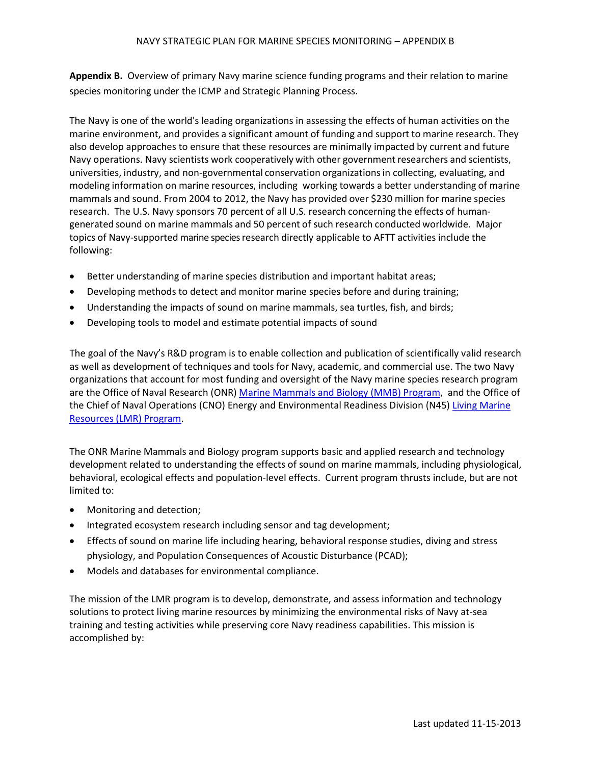**Appendix B.** Overview of primary Navy marine science funding programs and their relation to marine species monitoring under the ICMP and Strategic Planning Process.

The Navy is one of the world's leading organizations in assessing the effects of human activities on the marine environment, and provides a significant amount of funding and support to marine research. They also develop approaches to ensure that these resources are minimally impacted by current and future Navy operations. Navy scientists work cooperatively with other government researchers and scientists, universities, industry, and non-governmental conservation organizationsin collecting, evaluating, and modeling information on marine resources, including working towards a better understanding of marine mammals and sound. From 2004 to 2012, the Navy has provided over \$230 million for marine species research. The U.S. Navy sponsors 70 percent of all U.S. research concerning the effects of humangenerated sound on marine mammals and 50 percent of such research conducted worldwide. Major topics of Navy-supported marine species research directly applicable to AFTT activities include the following:

- Better understanding of marine species distribution and important habitat areas;
- Developing methods to detect and monitor marine species before and during training;
- Understanding the impacts of sound on marine mammals, sea turtles, fish, and birds;
- Developing tools to model and estimate potential impacts of sound

The goal of the Navy's R&D program is to enable collection and publication of scientifically valid research as well as development of techniques and tools for Navy, academic, and commercial use. The two Navy organizations that account for most funding and oversight of the Navy marine species research program are the Office of Naval Research (ONR[\) Marine Mammals and Biology \(MMB\) Program,](http://www.onr.navy.mil/en/Science-Technology/Departments/Code-32/All-Programs/Atmosphere-Research-322/Marine-Mammals-Biology.aspx) and the Office of the Chief of Naval Operations (CNO) Energy and Environmental Readiness Division (N45[\) Living Marine](https://www.lmr.navy.mil/Home.aspx)  [Resources \(LMR\) Program.](https://www.lmr.navy.mil/Home.aspx)

The ONR Marine Mammals and Biology program supports basic and applied research and technology development related to understanding the effects of sound on marine mammals, including physiological, behavioral, ecological effects and population-level effects. Current program thrusts include, but are not limited to:

- Monitoring and detection;
- Integrated ecosystem research including sensor and tag development;
- Effects of sound on marine life including hearing, behavioral response studies, diving and stress physiology, and Population Consequences of Acoustic Disturbance (PCAD);
- Models and databases for environmental compliance.

The mission of the LMR program is to develop, demonstrate, and assess information and technology solutions to protect living marine resources by minimizing the environmental risks of Navy at-sea training and testing activities while preserving core Navy readiness capabilities. This mission is accomplished by: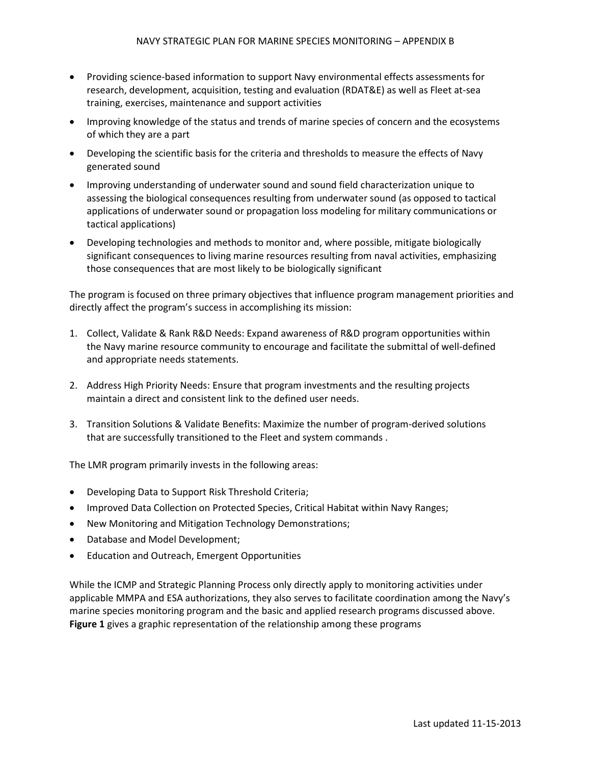- Providing science-based information to support Navy environmental effects assessments for research, development, acquisition, testing and evaluation (RDAT&E) as well as Fleet at-sea training, exercises, maintenance and support activities
- Improving knowledge of the status and trends of marine species of concern and the ecosystems of which they are a part
- Developing the scientific basis for the criteria and thresholds to measure the effects of Navy generated sound
- Improving understanding of underwater sound and sound field characterization unique to assessing the biological consequences resulting from underwater sound (as opposed to tactical applications of underwater sound or propagation loss modeling for military communications or tactical applications)
- Developing technologies and methods to monitor and, where possible, mitigate biologically significant consequences to living marine resources resulting from naval activities, emphasizing those consequences that are most likely to be biologically significant

The program is focused on three primary objectives that influence program management priorities and directly affect the program's success in accomplishing its mission:

- 1. Collect, Validate & Rank R&D Needs: Expand awareness of R&D program opportunities within the Navy marine resource community to encourage and facilitate the submittal of well-defined and appropriate needs statements.
- 2. Address High Priority Needs: Ensure that program investments and the resulting projects maintain a direct and consistent link to the defined user needs.
- 3. Transition Solutions & Validate Benefits: Maximize the number of program-derived solutions that are successfully transitioned to the Fleet and system commands .

The LMR program primarily invests in the following areas:

- Developing Data to Support Risk Threshold Criteria;
- Improved Data Collection on Protected Species, Critical Habitat within Navy Ranges;
- New Monitoring and Mitigation Technology Demonstrations;
- Database and Model Development;
- Education and Outreach, Emergent Opportunities

While the ICMP and Strategic Planning Process only directly apply to monitoring activities under applicable MMPA and ESA authorizations, they also serves to facilitate coordination among the Navy's marine species monitoring program and the basic and applied research programs discussed above. **Figure 1** gives a graphic representation of the relationship among these programs